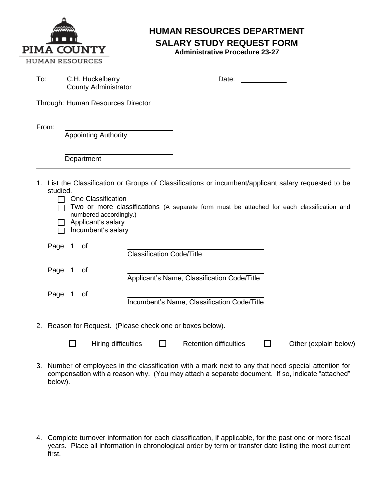

## **HUMAN RESOURCES DEPARTMENT SALARY STUDY REQUEST FORM**

**Administrative Procedure 23-27**

| To:                                                                                                                                                                                                                                                                                                                          | C.H. Huckelberry<br><b>County Administrator</b> |  |                             |                                  | Date: |                                             |                |                       |  |
|------------------------------------------------------------------------------------------------------------------------------------------------------------------------------------------------------------------------------------------------------------------------------------------------------------------------------|-------------------------------------------------|--|-----------------------------|----------------------------------|-------|---------------------------------------------|----------------|-----------------------|--|
| Through: Human Resources Director                                                                                                                                                                                                                                                                                            |                                                 |  |                             |                                  |       |                                             |                |                       |  |
| From:                                                                                                                                                                                                                                                                                                                        |                                                 |  | <b>Appointing Authority</b> |                                  |       |                                             |                |                       |  |
|                                                                                                                                                                                                                                                                                                                              |                                                 |  | Department                  |                                  |       |                                             |                |                       |  |
| 1. List the Classification or Groups of Classifications or incumbent/applicant salary requested to be<br>studied.<br>One Classification<br>$\blacksquare$<br>Two or more classifications (A separate form must be attached for each classification and<br>numbered accordingly.)<br>Applicant's salary<br>Incumbent's salary |                                                 |  |                             |                                  |       |                                             |                |                       |  |
|                                                                                                                                                                                                                                                                                                                              | Page 1                                          |  | of                          | <b>Classification Code/Title</b> |       |                                             |                |                       |  |
|                                                                                                                                                                                                                                                                                                                              | Page 1                                          |  | οf                          |                                  |       | Applicant's Name, Classification Code/Title |                |                       |  |
|                                                                                                                                                                                                                                                                                                                              | Page 1                                          |  | of                          |                                  |       | Incumbent's Name, Classification Code/Title |                |                       |  |
| 2. Reason for Request. (Please check one or boxes below).                                                                                                                                                                                                                                                                    |                                                 |  |                             |                                  |       |                                             |                |                       |  |
|                                                                                                                                                                                                                                                                                                                              |                                                 |  | Hiring difficulties         | П                                |       | <b>Retention difficulties</b>               | $\blacksquare$ | Other (explain below) |  |

- 3. Number of employees in the classification with a mark next to any that need special attention for compensation with a reason why. (You may attach a separate document. If so, indicate "attached" below).
- 4. Complete turnover information for each classification, if applicable, for the past one or more fiscal years. Place all information in chronological order by term or transfer date listing the most current first.